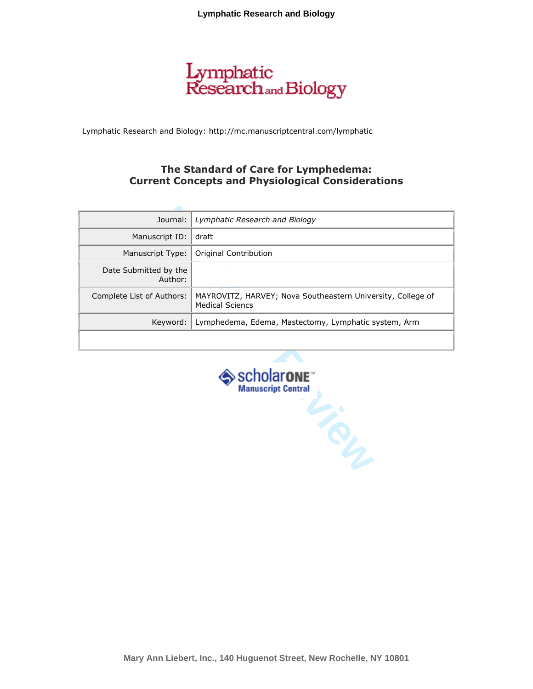# Lymphatic<br>Research and Biology

Lymphatic Research and Biology: http://mc.manuscriptcentral.com/lymphatic

## The Standard of Care for Lymphedema: Current Concepts and Physiological Considerations

| Journal:                                        | Lymphatic Research and Biology                                                        |  |  |  |
|-------------------------------------------------|---------------------------------------------------------------------------------------|--|--|--|
| Manuscript ID:                                  | draft                                                                                 |  |  |  |
| Manuscript Type:                                | Original Contribution                                                                 |  |  |  |
| Date Submitted by the<br>Author:                |                                                                                       |  |  |  |
| Complete List of Authors:                       | MAYROVITZ, HARVEY; Nova Southeastern University, College of<br><b>Medical Sciencs</b> |  |  |  |
| Keyword:                                        | Lymphedema, Edema, Mastectomy, Lymphatic system, Arm                                  |  |  |  |
|                                                 |                                                                                       |  |  |  |
| > Scholarone <sup>"</sup><br>Manuscript Central |                                                                                       |  |  |  |

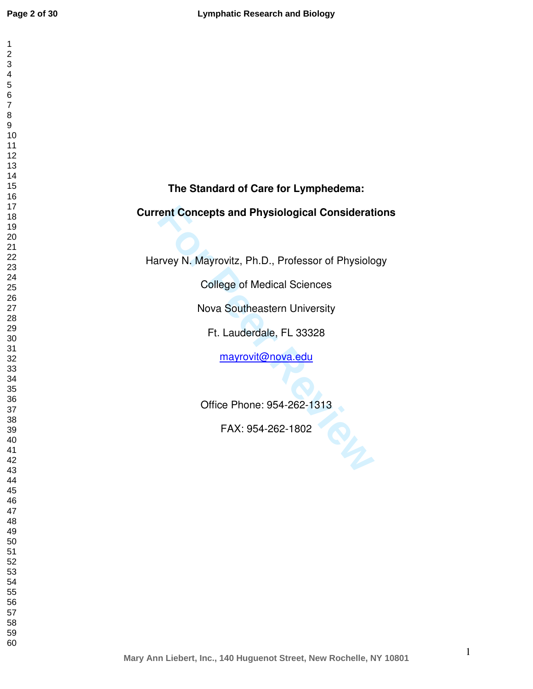| 1                            |                                                          |
|------------------------------|----------------------------------------------------------|
| $\overline{c}$<br>3          |                                                          |
| 4                            |                                                          |
| 5                            |                                                          |
| 6<br>$\overline{\mathbf{7}}$ |                                                          |
| 8                            |                                                          |
| $\boldsymbol{9}$             |                                                          |
| 10<br>11                     |                                                          |
| 12                           |                                                          |
| 13                           |                                                          |
| 14<br>15                     | The Standard of Care for Lymphedema:                     |
| 16                           |                                                          |
| 17<br>18                     | <b>Current Concepts and Physiological Considerations</b> |
| 19                           |                                                          |
| 20                           |                                                          |
| 21<br>22                     |                                                          |
| 23                           | Harvey N. Mayrovitz, Ph.D., Professor of Physiology      |
| 24                           | <b>College of Medical Sciences</b>                       |
| 25<br>26                     |                                                          |
| 27                           | Nova Southeastern University                             |
| 28                           |                                                          |
| 29<br>$30\,$                 | Ft. Lauderdale, FL 33328                                 |
| 31                           |                                                          |
| 32<br>33                     | mayrovit@nova.edu                                        |
| 34                           |                                                          |
| 35                           |                                                          |
| 36<br>37                     | Office Phone: 954-262-1313                               |
| 38                           |                                                          |
| 39                           | FAX: 954-262-1802<br>OIN                                 |
| 40<br>41                     |                                                          |
| 42                           |                                                          |
| 43<br>44                     |                                                          |
| 45                           |                                                          |
| 46                           |                                                          |
| 47<br>48                     |                                                          |
| 49                           |                                                          |
| 50<br>51                     |                                                          |
| 52                           |                                                          |
| 53                           |                                                          |
| 54<br>55                     |                                                          |
| 56                           |                                                          |
| 57                           |                                                          |
| 58<br>59                     |                                                          |
| 60                           |                                                          |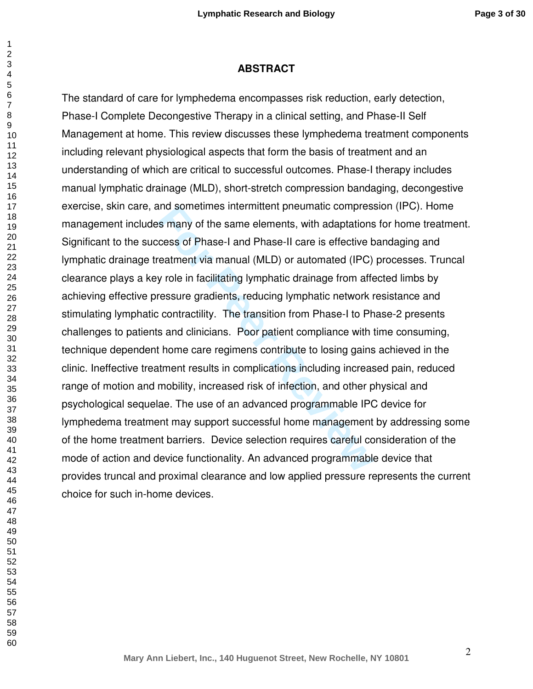#### **ABSTRACT**

and sometimes intermittent pneumatic compress<br> **For Phase-1** and Phase-II care is effective b<br>
Featment via manual (MLD) or automated (IPC)<br>
y role in facilitating lymphatic drainage from afferessure gradients, reducing ly The standard of care for lymphedema encompasses risk reduction, early detection, Phase-I Complete Decongestive Therapy in a clinical setting, and Phase-II Self Management at home. This review discusses these lymphedema treatment components including relevant physiological aspects that form the basis of treatment and an understanding of which are critical to successful outcomes. Phase-I therapy includes manual lymphatic drainage (MLD), short-stretch compression bandaging, decongestive exercise, skin care, and sometimes intermittent pneumatic compression (IPC). Home management includes many of the same elements, with adaptations for home treatment. Significant to the success of Phase-I and Phase-II care is effective bandaging and lymphatic drainage treatment via manual (MLD) or automated (IPC) processes. Truncal clearance plays a key role in facilitating lymphatic drainage from affected limbs by achieving effective pressure gradients, reducing lymphatic network resistance and stimulating lymphatic contractility. The transition from Phase-I to Phase-2 presents challenges to patients and clinicians. Poor patient compliance with time consuming, technique dependent home care regimens contribute to losing gains achieved in the clinic. Ineffective treatment results in complications including increased pain, reduced range of motion and mobility, increased risk of infection, and other physical and psychological sequelae. The use of an advanced programmable IPC device for lymphedema treatment may support successful home management by addressing some of the home treatment barriers. Device selection requires careful consideration of the mode of action and device functionality. An advanced programmable device that provides truncal and proximal clearance and low applied pressure represents the current choice for such in-home devices.

 $\mathbf{1}$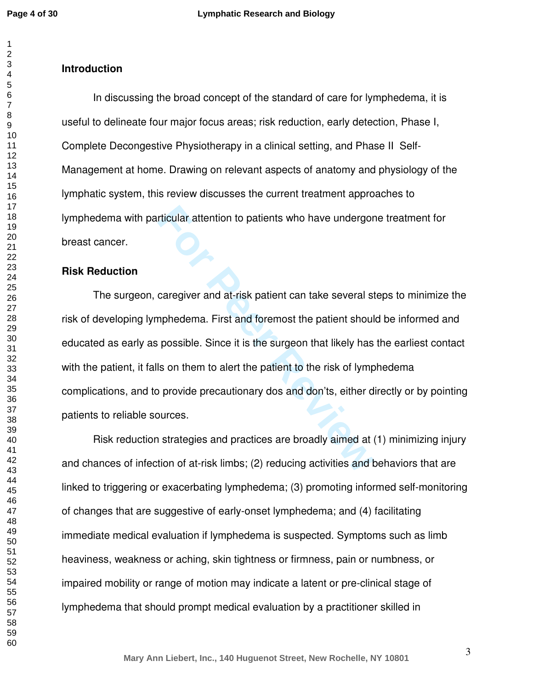$\mathbf{1}$ 

#### $\overline{2}$

## **Introduction**

In discussing the broad concept of the standard of care for lymphedema, it is useful to delineate four major focus areas; risk reduction, early detection, Phase I, Complete Decongestive Physiotherapy in a clinical setting, and Phase II Self-Management at home. Drawing on relevant aspects of anatomy and physiology of the lymphatic system, this review discusses the current treatment approaches to lymphedema with particular attention to patients who have undergone treatment for breast cancer.

### **Risk Reduction**

rticular attention to patients who have undergor<br>
caregiver and at-risk patient can take several st<br>
mphedema. First and foremost the patient shoul<br>
possible. Since it is the surgeon that likely has<br>
ls on them to alert th The surgeon, caregiver and at-risk patient can take several steps to minimize the risk of developing lymphedema. First and foremost the patient should be informed and educated as early as possible. Since it is the surgeon that likely has the earliest contact with the patient, it falls on them to alert the patient to the risk of lymphedema complications, and to provide precautionary dos and don'ts, either directly or by pointing patients to reliable sources.

 Risk reduction strategies and practices are broadly aimed at (1) minimizing injury and chances of infection of at-risk limbs; (2) reducing activities and behaviors that are linked to triggering or exacerbating lymphedema; (3) promoting informed self-monitoring of changes that are suggestive of early-onset lymphedema; and (4) facilitating immediate medical evaluation if lymphedema is suspected. Symptoms such as limb heaviness, weakness or aching, skin tightness or firmness, pain or numbness, or impaired mobility or range of motion may indicate a latent or pre-clinical stage of lymphedema that should prompt medical evaluation by a practitioner skilled in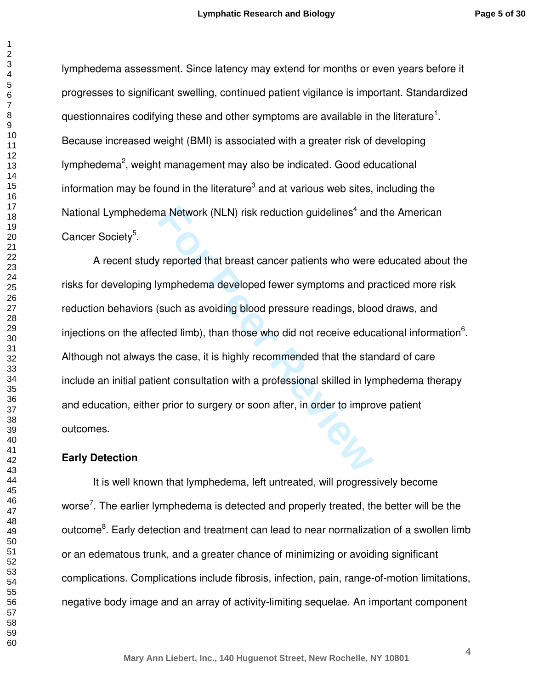$\mathbf{1}$ 

lymphedema assessment. Since latency may extend for months or even years before it progresses to significant swelling, continued patient vigilance is important. Standardized questionnaires codifying these and other symptoms are available in the literature<sup>1</sup>. Because increased weight (BMI) is associated with a greater risk of developing lymphedema<sup>2</sup>, weight management may also be indicated. Good educational information may be found in the literature<sup>3</sup> and at various web sites, including the National Lymphedema Network (NLN) risk reduction guidelines<sup>4</sup> and the American Cancer Society<sup>5</sup>.

The Network (NLN) risk reduction guidelines<sup>4</sup> and<br>
For Peoported that breast cancer patients who were<br> **For People Allen Accelery Symptoms** and proved that as avoiding blood pressure readings, bloc<br>
cted limb), than those A recent study reported that breast cancer patients who were educated about the risks for developing lymphedema developed fewer symptoms and practiced more risk reduction behaviors (such as avoiding blood pressure readings, blood draws, and injections on the affected limb), than those who did not receive educational information<sup>6</sup>. Although not always the case, it is highly recommended that the standard of care include an initial patient consultation with a professional skilled in lymphedema therapy and education, either prior to surgery or soon after, in order to improve patient outcomes.

### **Early Detection**

 It is well known that lymphedema, left untreated, will progressively become worse<sup>7</sup>. The earlier lymphedema is detected and properly treated, the better will be the outcome<sup>8</sup>. Early detection and treatment can lead to near normalization of a swollen limb or an edematous trunk, and a greater chance of minimizing or avoiding significant complications. Complications include fibrosis, infection, pain, range-of-motion limitations, negative body image and an array of activity-limiting sequelae. An important component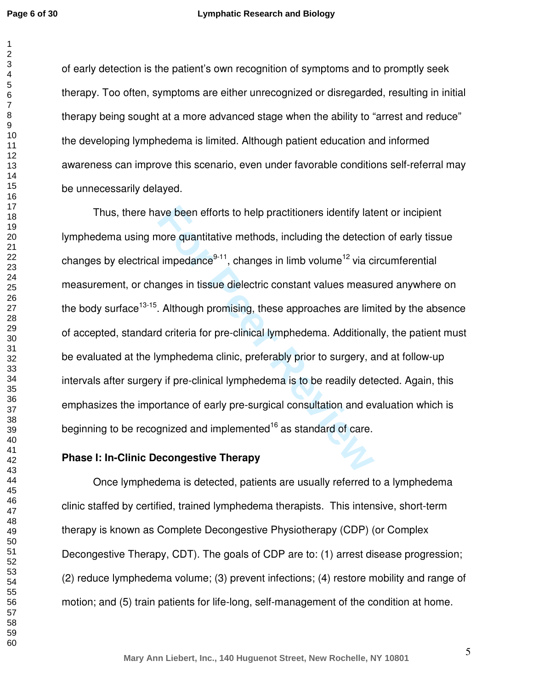of early detection is the patient's own recognition of symptoms and to promptly seek therapy. Too often, symptoms are either unrecognized or disregarded, resulting in initial therapy being sought at a more advanced stage when the ability to "arrest and reduce" the developing lymphedema is limited. Although patient education and informed awareness can improve this scenario, even under favorable conditions self-referral may be unnecessarily delayed.

ave been efforts to help practitioners identify late<br>nore quantitative methods, including the detection<br>impedance<sup>9-11</sup>, changes in limb volume<sup>12</sup> via ci<br>anges in tissue dielectric constant values measuranges in tissue di Thus, there have been efforts to help practitioners identify latent or incipient lymphedema using more quantitative methods, including the detection of early tissue changes by electrical impedance<sup>9-11</sup>, changes in limb volume<sup>12</sup> via circumferential measurement, or changes in tissue dielectric constant values measured anywhere on the body surface<sup>13-15</sup>. Although promising, these approaches are limited by the absence of accepted, standard criteria for pre-clinical lymphedema. Additionally, the patient must be evaluated at the lymphedema clinic, preferably prior to surgery, and at follow-up intervals after surgery if pre-clinical lymphedema is to be readily detected. Again, this emphasizes the importance of early pre-surgical consultation and evaluation which is beginning to be recognized and implemented<sup>16</sup> as standard of care.

### **Phase I: In-Clinic Decongestive Therapy**

 Once lymphedema is detected, patients are usually referred to a lymphedema clinic staffed by certified, trained lymphedema therapists. This intensive, short-term therapy is known as Complete Decongestive Physiotherapy (CDP) (or Complex Decongestive Therapy, CDT). The goals of CDP are to: (1) arrest disease progression; (2) reduce lymphedema volume; (3) prevent infections; (4) restore mobility and range of motion; and (5) train patients for life-long, self-management of the condition at home.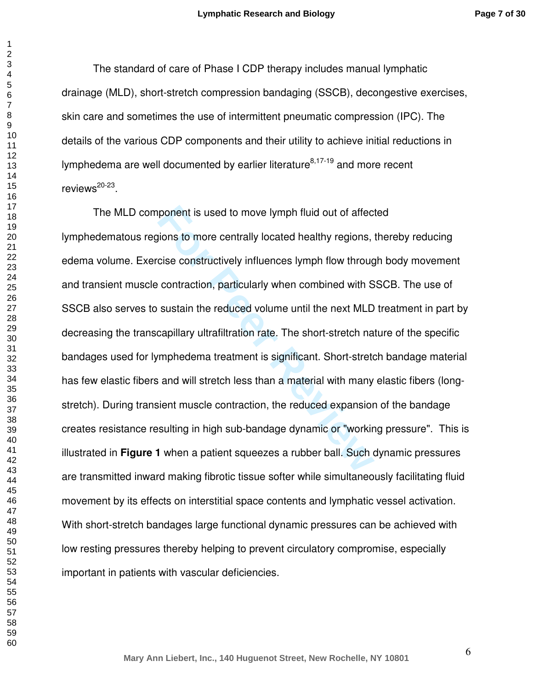The standard of care of Phase I CDP therapy includes manual lymphatic drainage (MLD), short-stretch compression bandaging (SSCB), decongestive exercises, skin care and sometimes the use of intermittent pneumatic compression (IPC). The details of the various CDP components and their utility to achieve initial reductions in lymphedema are well documented by earlier literature $8,17-19$  and more recent reviews<sup>20-23</sup>.

ponent is used to move lymph fluid out of affections to more centrally located healthy regions, cise constructively influences lymph flow throug contraction, particularly when combined with S sustain the reduced volume unt The MLD component is used to move lymph fluid out of affected lymphedematous regions to more centrally located healthy regions, thereby reducing edema volume. Exercise constructively influences lymph flow through body movement and transient muscle contraction, particularly when combined with SSCB. The use of SSCB also serves to sustain the reduced volume until the next MLD treatment in part by decreasing the transcapillary ultrafiltration rate. The short-stretch nature of the specific bandages used for lymphedema treatment is significant. Short-stretch bandage material has few elastic fibers and will stretch less than a material with many elastic fibers (longstretch). During transient muscle contraction, the reduced expansion of the bandage creates resistance resulting in high sub-bandage dynamic or "working pressure". This is illustrated in **Figure 1** when a patient squeezes a rubber ball. Such dynamic pressures are transmitted inward making fibrotic tissue softer while simultaneously facilitating fluid movement by its effects on interstitial space contents and lymphatic vessel activation. With short-stretch bandages large functional dynamic pressures can be achieved with low resting pressures thereby helping to prevent circulatory compromise, especially important in patients with vascular deficiencies.

 $\mathbf{1}$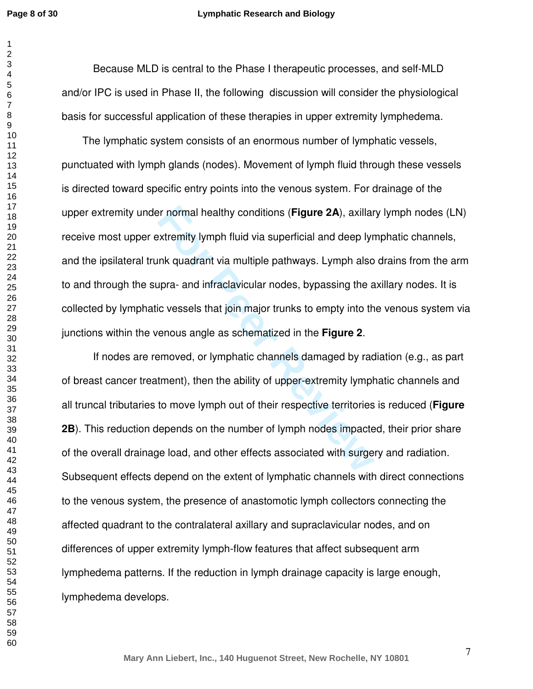#### **Lymphatic Research and Biology**

 Because MLD is central to the Phase I therapeutic processes, and self-MLD and/or IPC is used in Phase II, the following discussion will consider the physiological basis for successful application of these therapies in upper extremity lymphedema.

For normal healthy conditions (**Figure 2A**), axillar<br>
Extremity lymph fluid via superficial and deep lym<br>
Ink quadrant via multiple pathways. Lymph also<br>
upra- and infraclavicular nodes, bypassing the a<br>
ic vessels that jo The lymphatic system consists of an enormous number of lymphatic vessels, punctuated with lymph glands (nodes). Movement of lymph fluid through these vessels is directed toward specific entry points into the venous system. For drainage of the upper extremity under normal healthy conditions (**Figure 2A**), axillary lymph nodes (LN) receive most upper extremity lymph fluid via superficial and deep lymphatic channels, and the ipsilateral trunk quadrant via multiple pathways. Lymph also drains from the arm to and through the supra- and infraclavicular nodes, bypassing the axillary nodes. It is collected by lymphatic vessels that join major trunks to empty into the venous system via junctions within the venous angle as schematized in the **Figure 2**.

 If nodes are removed, or lymphatic channels damaged by radiation (e.g., as part of breast cancer treatment), then the ability of upper-extremity lymphatic channels and all truncal tributaries to move lymph out of their respective territories is reduced (**Figure 2B**). This reduction depends on the number of lymph nodes impacted, their prior share of the overall drainage load, and other effects associated with surgery and radiation. Subsequent effects depend on the extent of lymphatic channels with direct connections to the venous system, the presence of anastomotic lymph collectors connecting the affected quadrant to the contralateral axillary and supraclavicular nodes, and on differences of upper extremity lymph-flow features that affect subsequent arm lymphedema patterns. If the reduction in lymph drainage capacity is large enough, lymphedema develops.

**Mary Ann Liebert, Inc., 140 Huguenot Street, New Rochelle, NY 10801**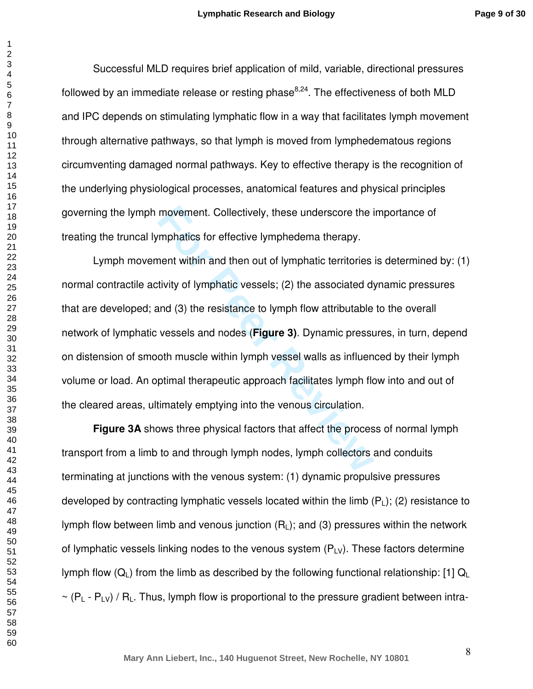Successful MLD requires brief application of mild, variable, directional pressures followed by an immediate release or resting phase $8,24$ . The effectiveness of both MLD and IPC depends on stimulating lymphatic flow in a way that facilitates lymph movement through alternative pathways, so that lymph is moved from lymphedematous regions circumventing damaged normal pathways. Key to effective therapy is the recognition of the underlying physiological processes, anatomical features and physical principles governing the lymph movement. Collectively, these underscore the importance of treating the truncal lymphatics for effective lymphedema therapy.

movement. Collectively, these underscore the imphatics for effective lymphedema therapy.<br>
Henri within and then out of lymphatic territories<br>
fivity of lymphatic vessels; (2) the associated dy<br>
and (3) the resistance to ly Lymph movement within and then out of lymphatic territories is determined by: (1) normal contractile activity of lymphatic vessels; (2) the associated dynamic pressures that are developed; and (3) the resistance to lymph flow attributable to the overall network of lymphatic vessels and nodes (**Figure 3)**. Dynamic pressures, in turn, depend on distension of smooth muscle within lymph vessel walls as influenced by their lymph volume or load. An optimal therapeutic approach facilitates lymph flow into and out of the cleared areas, ultimately emptying into the venous circulation.

**Figure 3A** shows three physical factors that affect the process of normal lymph transport from a limb to and through lymph nodes, lymph collectors and conduits terminating at junctions with the venous system: (1) dynamic propulsive pressures developed by contracting lymphatic vessels located within the limb (P <sup>L</sup>); (2) resistance to lymph flow between limb and venous junction (R <sup>L</sup>); and (3) pressures within the network of lymphatic vessels linking nodes to the venous system  $(P_{\perp}y)$ . These factors determine lymph flow (Q<sub>L</sub>) from the limb as described by the following functional relationship: [1] Q<sub>L</sub>  $\sim$  (P<sub>L</sub> - P<sub>LV</sub>) / R<sub>L</sub>. Thus, lymph flow is proportional to the pressure gradient between intra-

 $\mathbf{1}$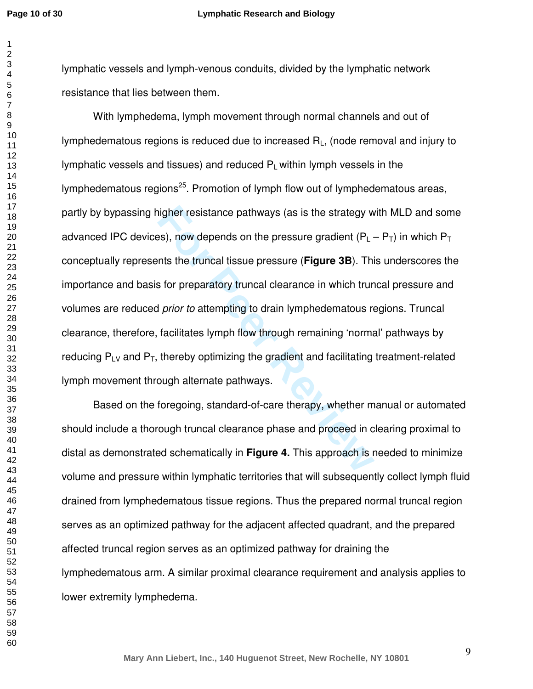lymphatic vessels and lymph-venous conduits, divided by the lymphatic network resistance that lies between them.

resistance pathways (as is the strategy w<br> **For Properties and the pressure gradient (P<sub>L</sub>.<br>
Ints the truncal tissue pressure (Figure 3B). This<br>
for preparatory truncal clearance in which trun<br>
I prior to attempting to dra**  With lymphedema, lymph movement through normal channels and out of lymphedematous regions is reduced due to increased R <sup>L</sup>, (node removal and injury to lymphatic vessels and tissues) and reduced  $P<sub>1</sub>$  within lymph vessels in the lymphedematous regions<sup>25</sup>. Promotion of lymph flow out of lymphedematous areas, partly by bypassing higher resistance pathways (as is the strategy with MLD and some advanced IPC devices), now depends on the pressure gradient (P $_{\mathsf{L}}$  – P<sub>T</sub>) in which P<sub>T</sub> conceptually represents the truncal tissue pressure (**Figure 3B**). This underscores the importance and basis for preparatory truncal clearance in which truncal pressure and volumes are reduced prior to attempting to drain lymphedematous regions. Truncal clearance, therefore, facilitates lymph flow through remaining 'normal' pathways by reducing  $P_{LV}$  and  $P_T$ , thereby optimizing the gradient and facilitating treatment-related lymph movement through alternate pathways.

 Based on the foregoing, standard-of-care therapy, whether manual or automated should include a thorough truncal clearance phase and proceed in clearing proximal to distal as demonstrated schematically in **Figure 4.** This approach is needed to minimize volume and pressure within lymphatic territories that will subsequently collect lymph fluid drained from lymphedematous tissue regions. Thus the prepared normal truncal region serves as an optimized pathway for the adjacent affected quadrant, and the prepared affected truncal region serves as an optimized pathway for draining the lymphedematous arm. A similar proximal clearance requirement and analysis applies to lower extremity lymphedema.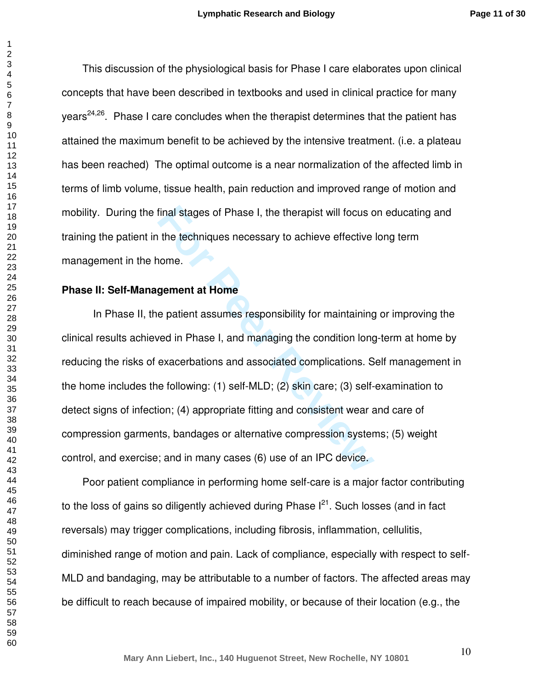$\mathbf{1}$ 

This discussion of the physiological basis for Phase I care elaborates upon clinical concepts that have been described in textbooks and used in clinical practice for many years<sup>24,26</sup>. Phase I care concludes when the therapist determines that the patient has attained the maximum benefit to be achieved by the intensive treatment. (i.e. a plateau has been reached) The optimal outcome is a near normalization of the affected limb in terms of limb volume, tissue health, pain reduction and improved range of motion and mobility. During the final stages of Phase I, the therapist will focus on educating and training the patient in the techniques necessary to achieve effective long term management in the home.

## **Phase II: Self-Management at Home**

final stages of Phase I, the therapist will focus c<br>the techniques necessary to achieve effective<br>nome.<br>**gement at Home**<br>e patient assumes responsibility for maintaining<br>ved in Phase I, and managing the condition long<br>exac In Phase II, the patient assumes responsibility for maintaining or improving the clinical results achieved in Phase I, and managing the condition long-term at home by reducing the risks of exacerbations and associated complications. Self management in the home includes the following: (1) self-MLD; (2) skin care; (3) self-examination to detect signs of infection; (4) appropriate fitting and consistent wear and care of compression garments, bandages or alternative compression systems; (5) weight control, and exercise; and in many cases (6) use of an IPC device.

Poor patient compliance in performing home self-care is a major factor contributing to the loss of gains so diligently achieved during Phase  $I^{21}$ . Such losses (and in fact reversals) may trigger complications, including fibrosis, inflammation, cellulitis, diminished range of motion and pain. Lack of compliance, especially with respect to self-MLD and bandaging, may be attributable to a number of factors. The affected areas may be difficult to reach because of impaired mobility, or because of their location (e.g., the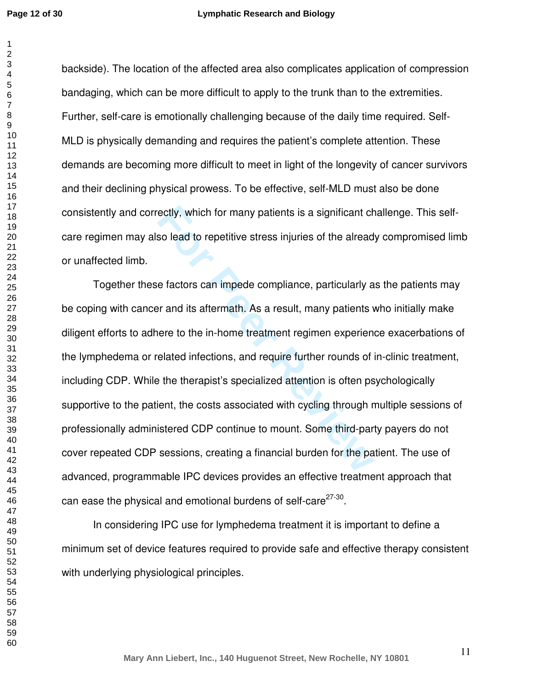$\mathbf{1}$ 

backside). The location of the affected area also complicates application of compression bandaging, which can be more difficult to apply to the trunk than to the extremities. Further, self-care is emotionally challenging because of the daily time required. Self-MLD is physically demanding and requires the patient's complete attention. These demands are becoming more difficult to meet in light of the longevity of cancer survivors and their declining physical prowess. To be effective, self-MLD must also be done consistently and correctly, which for many patients is a significant challenge. This selfcare regimen may also lead to repetitive stress injuries of the already compromised limb or unaffected limb.

**Formally, which for many patients is a significant choof the solead to repetitive stress injuries of the alread effectors can impede compliance, particularly a per and its aftermath. As a result, many patients verte to th**  Together these factors can impede compliance, particularly as the patients may be coping with cancer and its aftermath. As a result, many patients who initially make diligent efforts to adhere to the in-home treatment regimen experience exacerbations of the lymphedema or related infections, and require further rounds of in-clinic treatment, including CDP. While the therapist's specialized attention is often psychologically supportive to the patient, the costs associated with cycling through multiple sessions of professionally administered CDP continue to mount. Some third-party payers do not cover repeated CDP sessions, creating a financial burden for the patient. The use of advanced, programmable IPC devices provides an effective treatment approach that can ease the physical and emotional burdens of self-care $^{27\text{-}30}$ .

 In considering IPC use for lymphedema treatment it is important to define a minimum set of device features required to provide safe and effective therapy consistent with underlying physiological principles.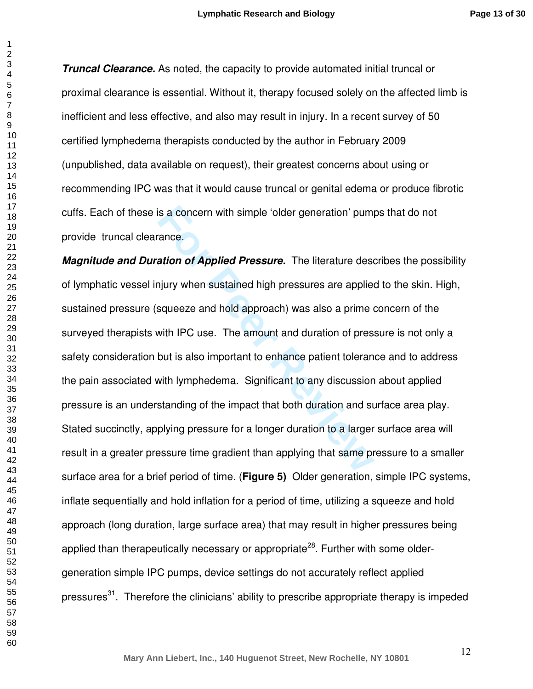**Page 13 of 30**

**Truncal Clearance.** As noted, the capacity to provide automated initial truncal or proximal clearance is essential. Without it, therapy focused solely on the affected limb is inefficient and less effective, and also may result in injury. In a recent survey of 50 certified lymphedema therapists conducted by the author in February 2009 (unpublished, data available on request), their greatest concerns about using or recommending IPC was that it would cause truncal or genital edema or produce fibrotic cuffs. Each of these is a concern with simple 'older generation' pumps that do not provide truncal clearance.

**Formal School School School School School School School School School School School School School School School School School School School School School School School School School School School School School School Scho Magnitude and Duration of Applied Pressure.** The literature describes the possibility of lymphatic vessel injury when sustained high pressures are applied to the skin. High, sustained pressure (squeeze and hold approach) was also a prime concern of the surveyed therapists with IPC use. The amount and duration of pressure is not only a safety consideration but is also important to enhance patient tolerance and to address the pain associated with lymphedema. Significant to any discussion about applied pressure is an understanding of the impact that both duration and surface area play. Stated succinctly, applying pressure for a longer duration to a larger surface area will result in a greater pressure time gradient than applying that same pressure to a smaller surface area for a brief period of time. (**Figure 5)** Older generation, simple IPC systems, inflate sequentially and hold inflation for a period of time, utilizing a squeeze and hold approach (long duration, large surface area) that may result in higher pressures being applied than therapeutically necessary or appropriate<sup>28</sup>. Further with some oldergeneration simple IPC pumps, device settings do not accurately reflect applied pressures<sup>31</sup>. Therefore the clinicians' ability to prescribe appropriate therapy is impeded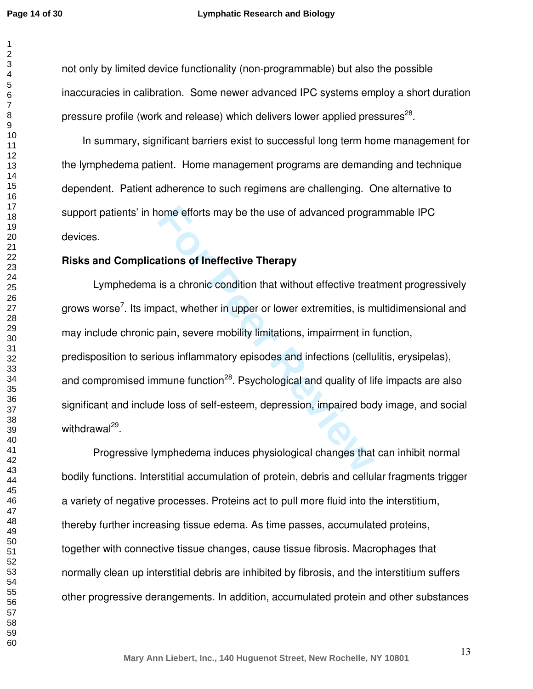$\mathbf{1}$  $\overline{2}$ 

not only by limited device functionality (non-programmable) but also the possible inaccuracies in calibration. Some newer advanced IPC systems employ a short duration pressure profile (work and release) which delivers lower applied pressures $^{28}$ .

In summary, significant barriers exist to successful long term home management for the lymphedema patient. Home management programs are demanding and technique dependent. Patient adherence to such regimens are challenging. One alternative to support patients' in home efforts may be the use of advanced programmable IPC devices.

## **Risks and Complications of Ineffective Therapy**

ome efforts may be the use of advanced progrations of Ineffective Therapy<br>
is a chronic condition that without effective trea<br>
pact, whether in upper or lower extremities, is m<br>
pain, severe mobility limitations, impairmen Lymphedema is a chronic condition that without effective treatment progressively grows worse<sup>7</sup>. Its impact, whether in upper or lower extremities, is multidimensional and may include chronic pain, severe mobility limitations, impairment in function, predisposition to serious inflammatory episodes and infections (cellulitis, erysipelas), and compromised immune function<sup>28</sup>. Psychological and quality of life impacts are also significant and include loss of self-esteem, depression, impaired body image, and social withdrawal<sup>29</sup>.

 Progressive lymphedema induces physiological changes that can inhibit normal bodily functions. Interstitial accumulation of protein, debris and cellular fragments trigger a variety of negative processes. Proteins act to pull more fluid into the interstitium, thereby further increasing tissue edema. As time passes, accumulated proteins, together with connective tissue changes, cause tissue fibrosis. Macrophages that normally clean up interstitial debris are inhibited by fibrosis, and the interstitium suffers other progressive derangements. In addition, accumulated protein and other substances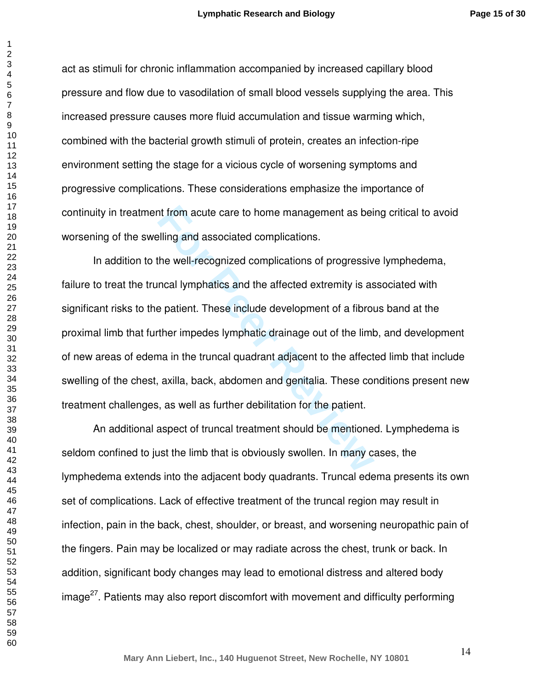**Page 15 of 30**

act as stimuli for chronic inflammation accompanied by increased capillary blood pressure and flow due to vasodilation of small blood vessels supplying the area. This increased pressure causes more fluid accumulation and tissue warming which, combined with the bacterial growth stimuli of protein, creates an infection-ripe environment setting the stage for a vicious cycle of worsening symptoms and progressive complications. These considerations emphasize the importance of continuity in treatment from acute care to home management as being critical to avoid worsening of the swelling and associated complications.

If from acute care to home management as bei<br>
Illing and associated complications.<br>
the well-recognized complications of progressiv<br>
Incal lymphatics and the affected extremity is as<br>  $\theta$  patient. These include developmen In addition to the well-recognized complications of progressive lymphedema, failure to treat the truncal lymphatics and the affected extremity is associated with significant risks to the patient. These include development of a fibrous band at the proximal limb that further impedes lymphatic drainage out of the limb, and development of new areas of edema in the truncal quadrant adjacent to the affected limb that include swelling of the chest, axilla, back, abdomen and genitalia. These conditions present new treatment challenges, as well as further debilitation for the patient.

 An additional aspect of truncal treatment should be mentioned. Lymphedema is seldom confined to just the limb that is obviously swollen. In many cases, the lymphedema extends into the adjacent body quadrants. Truncal edema presents its own set of complications. Lack of effective treatment of the truncal region may result in infection, pain in the back, chest, shoulder, or breast, and worsening neuropathic pain of the fingers. Pain may be localized or may radiate across the chest, trunk or back. In addition, significant body changes may lead to emotional distress and altered body  $\mu$ image<sup>27</sup>. Patients may also report discomfort with movement and difficulty performing

 $\mathbf{1}$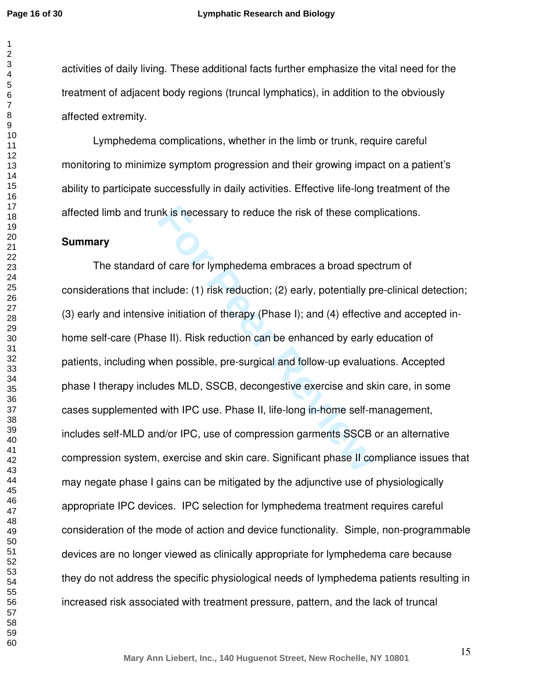#### **Lymphatic Research and Biology**

activities of daily living. These additional facts further emphasize the vital need for the treatment of adjacent body regions (truncal lymphatics), in addition to the obviously affected extremity.

 Lymphedema complications, whether in the limb or trunk, require careful monitoring to minimize symptom progression and their growing impact on a patient's ability to participate successfully in daily activities. Effective life-long treatment of the affected limb and trunk is necessary to reduce the risk of these complications.

#### **Summary**

nk is necessary to reduce the risk of these comport<br>of care for lymphedema embraces a broad spe-<br>nclude: (1) risk reduction; (2) early, potentially p<br>re initiation of therapy (Phase I); and (4) effectiv<br>se II). Risk reduct The standard of care for lymphedema embraces a broad spectrum of considerations that include: (1) risk reduction; (2) early, potentially pre-clinical detection; (3) early and intensive initiation of therapy (Phase I); and (4) effective and accepted inhome self-care (Phase II). Risk reduction can be enhanced by early education of patients, including when possible, pre-surgical and follow-up evaluations. Accepted phase I therapy includes MLD, SSCB, decongestive exercise and skin care, in some cases supplemented with IPC use. Phase II, life-long in-home self-management, includes self-MLD and/or IPC, use of compression garments SSCB or an alternative compression system, exercise and skin care. Significant phase II compliance issues that may negate phase I gains can be mitigated by the adjunctive use of physiologically appropriate IPC devices. IPC selection for lymphedema treatment requires careful consideration of the mode of action and device functionality. Simple, non-programmable devices are no longer viewed as clinically appropriate for lymphedema care because they do not address the specific physiological needs of lymphedema patients resulting in increased risk associated with treatment pressure, pattern, and the lack of truncal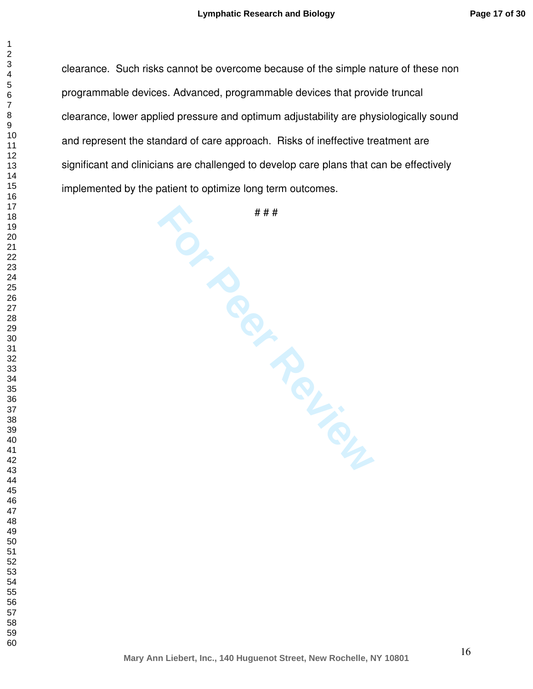clearance. Such risks cannot be overcome because of the simple nature of these non programmable devices. Advanced, programmable devices that provide truncal clearance, lower applied pressure and optimum adjustability are physiologically sound and represent the standard of care approach. Risks of ineffective treatment are significant and clinicians are challenged to develop care plans that can be effectively implemented by the patient to optimize long term outcomes.

# # #

**For the Percy Review**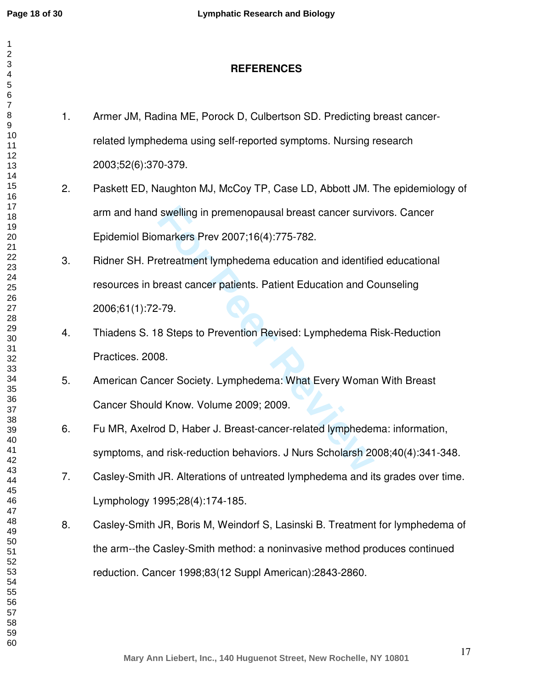$\mathbf{1}$  $\overline{2}$  $\overline{4}$  $\overline{7}$ 

| $\overline{\mathbf{c}}$<br>3<br>4<br>5<br>6 |    | <b>REFERENCES</b>                                                              |
|---------------------------------------------|----|--------------------------------------------------------------------------------|
| $\overline{7}$<br>8<br>9                    | 1. | Armer JM, Radina ME, Porock D, Culbertson SD. Predicting breast cancer-        |
| 10<br>11                                    |    | related lymphedema using self-reported symptoms. Nursing research              |
| 12<br>13                                    |    | 2003;52(6):370-379.                                                            |
| 14<br>15<br>16                              | 2. | Paskett ED, Naughton MJ, McCoy TP, Case LD, Abbott JM. The epidemiology of     |
| 17<br>18                                    |    | arm and hand swelling in premenopausal breast cancer survivors. Cancer         |
| 19<br>20                                    |    | Epidemiol Biomarkers Prev 2007;16(4):775-782.                                  |
| 21<br>22<br>23                              | 3. | Ridner SH. Pretreatment lymphedema education and identified educational        |
| 24<br>25                                    |    | resources in breast cancer patients. Patient Education and Counseling          |
| 26<br>27<br>28                              |    | 2006;61(1):72-79.                                                              |
| 29<br>30                                    | 4. | Thiadens S. 18 Steps to Prevention Revised: Lymphedema Risk-Reduction          |
| 31<br>32                                    |    | Practices. 2008.                                                               |
| 33<br>34<br>35                              | 5. | American Cancer Society. Lymphedema: What Every Woman With Breast              |
| 36<br>37                                    |    | Cancer Should Know. Volume 2009; 2009.                                         |
| 38<br>39                                    | 6. | Fu MR, Axelrod D, Haber J. Breast-cancer-related lymphedema: information,      |
| 40<br>41<br>42                              |    | symptoms, and risk-reduction behaviors. J Nurs Scholarsh 2008;40(4):341-348.   |
| 43<br>44                                    | 7. | Casley-Smith JR. Alterations of untreated lymphedema and its grades over time. |
| 45<br>46<br>47                              |    | Lymphology 1995;28(4):174-185.                                                 |
| 48<br>49                                    | 8. | Casley-Smith JR, Boris M, Weindorf S, Lasinski B. Treatment for lymphedema of  |
| 50<br>51                                    |    | the arm--the Casley-Smith method: a noninvasive method produces continued      |
| 52<br>53<br>54                              |    | reduction. Cancer 1998;83(12 Suppl American):2843-2860.                        |
| 55<br>56                                    |    |                                                                                |
| 57<br>58                                    |    |                                                                                |
| 59<br>60                                    |    | 17                                                                             |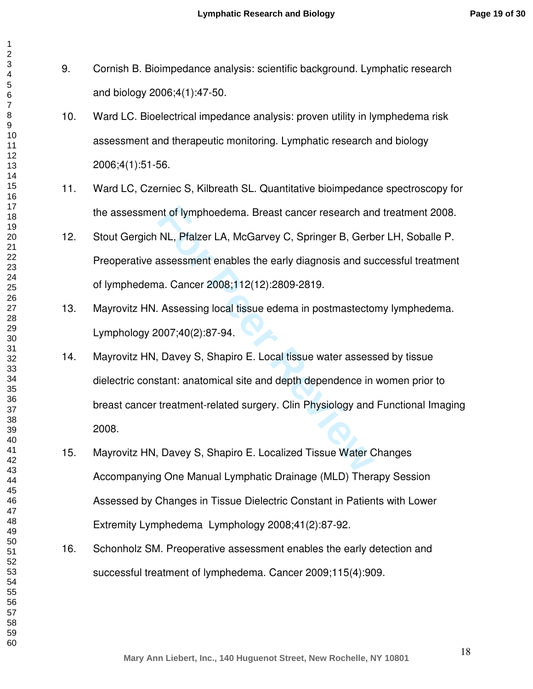- 9. Cornish B. Bioimpedance analysis: scientific background. Lymphatic research and biology 2006;4(1):47-50.
- 10. Ward LC. Bioelectrical impedance analysis: proven utility in lymphedema risk assessment and therapeutic monitoring. Lymphatic research and biology 2006;4(1):51-56.
- 11. Ward LC, Czerniec S, Kilbreath SL. Quantitative bioimpedance spectroscopy for the assessment of lymphoedema. Breast cancer research and treatment 2008.
- 12. Stout Gergich NL, Pfalzer LA, McGarvey C, Springer B, Gerber LH, Soballe P. Preoperative assessment enables the early diagnosis and successful treatment of lymphedema. Cancer 2008;112(12):2809-2819.
- 13. Mayrovitz HN. Assessing local tissue edema in postmastectomy lymphedema. Lymphology 2007;40(2):87-94.
- nt of lymphoedema. Breast cancer research an<br>
NL, Pfalzer LA, McGarvey C, Springer B, Gerb<br>
assessment enables the early diagnosis and su<br>
a. Cancer 2008;112(12):2809-2819.<br>
Assessing local tissue edema in postmastecto<br>
00 14. Mayrovitz HN, Davey S, Shapiro E. Local tissue water assessed by tissue dielectric constant: anatomical site and depth dependence in women prior to breast cancer treatment-related surgery. Clin Physiology and Functional Imaging 2008.
- 15. Mayrovitz HN, Davey S, Shapiro E. Localized Tissue Water Changes Accompanying One Manual Lymphatic Drainage (MLD) Therapy Session Assessed by Changes in Tissue Dielectric Constant in Patients with Lower Extremity Lymphedema Lymphology 2008;41(2):87-92.
- 16. Schonholz SM. Preoperative assessment enables the early detection and successful treatment of lymphedema. Cancer 2009;115(4):909.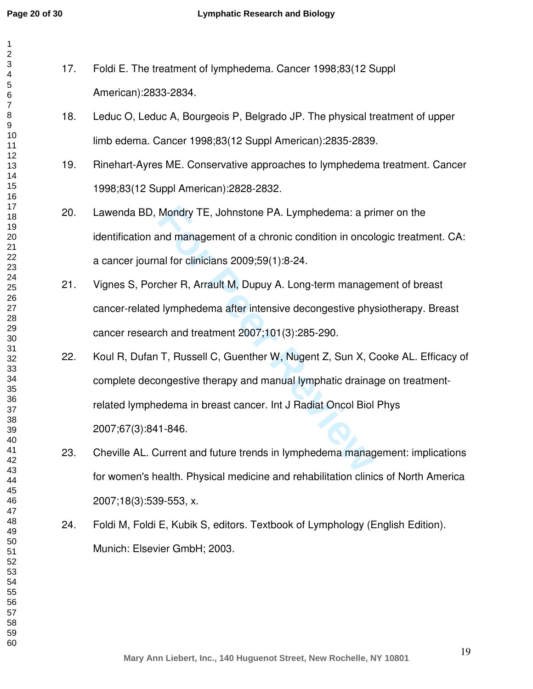| 1                                 |     |               |
|-----------------------------------|-----|---------------|
| $\overline{\mathbf{c}}$<br>3<br>4 | 17. | Foldi E       |
| 5<br>6                            |     | Ameri         |
| $\overline{7}$<br>8               | 18. | Leduc         |
| 9<br>10<br>11                     |     | limb e        |
| 12<br>13                          | 19. | Rineh         |
| 14<br>15<br>16                    |     | 1998;         |
| 17<br>18                          | 20. | Lawer         |
| 19<br>20                          |     | identif       |
| 21<br>22<br>23                    |     | a cand        |
| 24<br>25                          | 21. | <b>Vignes</b> |
| 26<br>27<br>28                    |     | cance         |
| 29<br>30                          |     | cance         |
| 31<br>32                          | 22. | Koul F        |
| 33<br>34<br>35                    |     | compl         |
| 36<br>37                          |     | related       |
| 38<br>39<br>40                    |     | 2007;         |
| 41<br>42                          | 23. | Chevil        |
| 43<br>44<br>45                    |     | for wo        |
| 46<br>47                          |     | 2007;         |
| 48<br>49                          | 24. | Foldi N       |
| 50<br>51<br>52                    |     | Munic         |
| 53<br>54                          |     |               |
| 55<br>56<br>57                    |     |               |
| 58<br>59                          |     |               |
| 60                                |     |               |

- E. The treatment of lymphedema. Cancer 1998;83(12 Suppl American):2833-2834.
- 18. Leduc O, Leduc A, Bourgeois P, Belgrado JP. The physical treatment of upper dema. Cancer 1998;83(12 Suppl American):2835-2839.
- art-Ayres ME. Conservative approaches to lymphedema treatment. Cancer 83(12 Suppl American):2828-2832.
- nda BD, Mondry TE, Johnstone PA. Lymphedema: a primer on the ication and management of a chronic condition in oncologic treatment. CA: cer journal for clinicians 2009;59(1):8-24.
- s S, Porcher R, Arrault M, Dupuy A. Long-term management of breast r-related lymphedema after intensive decongestive physiotherapy. Breast  $r$  research and treatment 2007;101(3):285-290.
- Mondry TE, Johnstone PA. Lymphedema: a pri<br>
and management of a chronic condition in oncol<br>
all for clinicians 2009;59(1):8-24.<br>
cher R, Arrault M, Dupuy A. Long-term manage<br>
I lymphedema after intensive decongestive phy<br> R, Dufan T, Russell C, Guenther W, Nugent Z, Sun X, Cooke AL. Efficacy of ete decongestive therapy and manual lymphatic drainage on treatmentd lymphedema in breast cancer. Int J Radiat Oncol Biol Phys 2007;67(3):841-846.
- lle AL. Current and future trends in lymphedema management: implications men's health. Physical medicine and rehabilitation clinics of North America 2007;18(3):539-553, x.
- M, Foldi E, Kubik S, editors. Textbook of Lymphology (English Edition). h: Elsevier GmbH; 2003.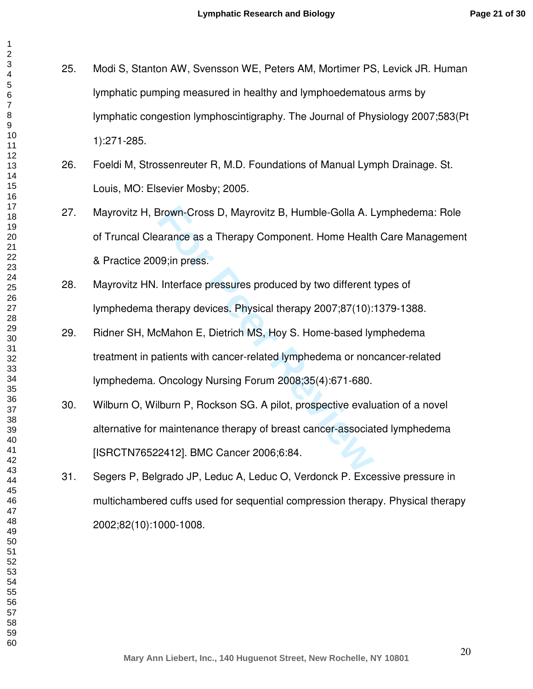25. Modi S, Stanton AW, Svensson WE, Peters AM, Mortimer PS, Levick JR. Human lymphatic pumping measured in healthy and lymphoedematous arms by lymphatic congestion lymphoscintigraphy. The Journal of Physiology 2007;583(Pt 1):271-285.

- 26. Foeldi M, Strossenreuter R, M.D. Foundations of Manual Lymph Drainage. St. Louis, MO: Elsevier Mosby; 2005.
- 27. Mayrovitz H, Brown-Cross D, Mayrovitz B, Humble-Golla A. Lymphedema: Role of Truncal Clearance as a Therapy Component. Home Health Care Management & Practice 2009;in press.
- 28. Mayrovitz HN. Interface pressures produced by two different types of lymphedema therapy devices. Physical therapy 2007;87(10):1379-1388.
- 29. Ridner SH, McMahon E, Dietrich MS, Hoy S. Home-based lymphedema treatment in patients with cancer-related lymphedema or noncancer-related lymphedema. Oncology Nursing Forum 2008;35(4):671-680.
- **Brown-Cross D, Mayrovitz B, Humble-Golla A. L**<br> **Formation** as a Therapy Component. Home Health<br> **Formation** P. S. Interface pressures produced by two different<br>
therapy devices. Physical therapy 2007;87(10):<br> **CMahon E,** 30. Wilburn O, Wilburn P, Rockson SG. A pilot, prospective evaluation of a novel alternative for maintenance therapy of breast cancer-associated lymphedema [ISRCTN76522412]. BMC Cancer 2006;6:84.
- 31. Segers P, Belgrado JP, Leduc A, Leduc O, Verdonck P. Excessive pressure in multichambered cuffs used for sequential compression therapy. Physical therapy 2002;82(10):1000-1008.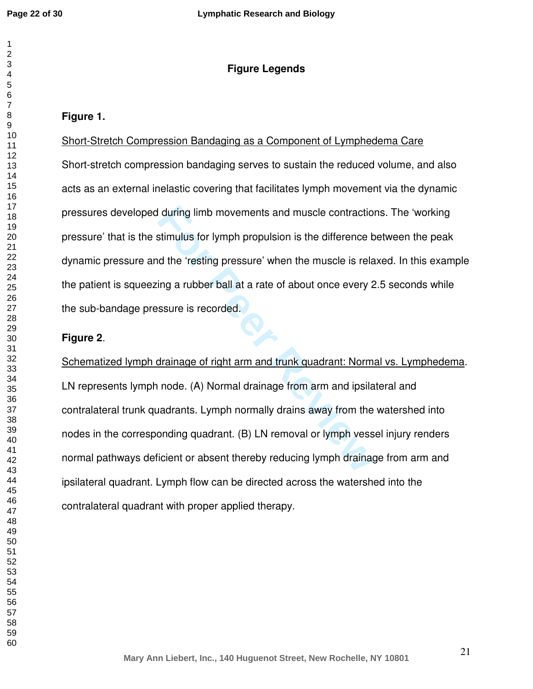# **Figure Legends**

# **Figure 1.**

Short-Stretch Compression Bandaging as a Component of Lymphedema Care Short-stretch compression bandaging serves to sustain the reduced volume, and also acts as an external inelastic covering that facilitates lymph movement via the dynamic pressures developed during limb movements and muscle contractions. The 'working pressure' that is the stimulus for lymph propulsion is the difference between the peak dynamic pressure and the 'resting pressure' when the muscle is relaxed. In this example the patient is squeezing a rubber ball at a rate of about once every 2.5 seconds while the sub-bandage pressure is recorded.

## **Figure 2**.

**Follow I during limb movements and muscle contractional extimulus for lymph propulsion is the difference bot the 'resting pressure' when the muscle is relating a rubber ball at a rate of about once every 2 ssure is record** Schematized lymph drainage of right arm and trunk quadrant: Normal vs. Lymphedema. LN represents lymph node. (A) Normal drainage from arm and ipsilateral and contralateral trunk quadrants. Lymph normally drains away from the watershed into nodes in the corresponding quadrant. (B) LN removal or lymph vessel injury renders normal pathways deficient or absent thereby reducing lymph drainage from arm and ipsilateral quadrant. Lymph flow can be directed across the watershed into the contralateral quadrant with proper applied therapy.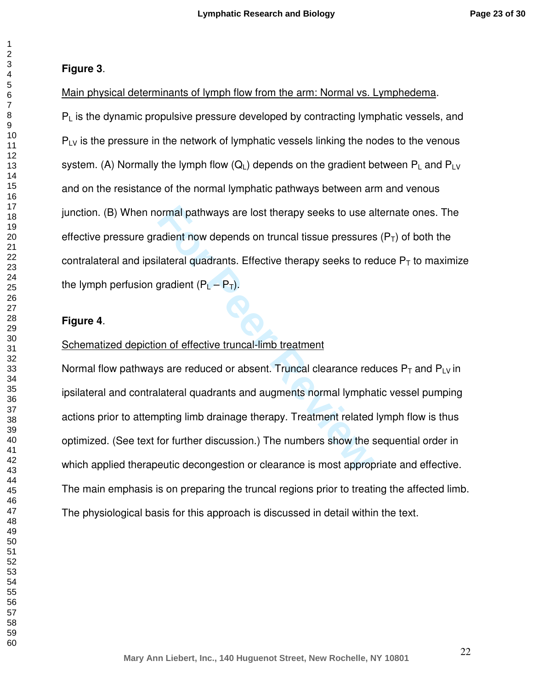#### $\overline{2}$

 $\mathbf{1}$ 

# **Figure 3**.

Main physical determinants of lymph flow from the arm: Normal vs. Lymphedema.<br> $P_L$  is the dynamic propulsive pressure developed by contracting lymphatic vessels, and<br> $P_{L}$  is the pressure in the network of lymphatic vess system. (A) Normally the lymph flow (Q<sub>L</sub>) depends on the gradient between P<sub>L</sub> and P<sub>LV</sub> and on the resistance of the normal lymphatic pathways between arm and venous junction. (B) When normal pathways are lost therapy seeks to use alternate ones. The effective pressure gradient now depends on truncal tissue pressures ( $P_T$ ) of both the contralateral and ipsilateral quadrants. Effective therapy seeks to reduce  $\mathsf{P}_\mathsf{T}$  to maximize the lymph perfusion gradient  $(P_{L}-P_{T}).$ 

# **Figure 4**.

# Schematized depiction of effective truncal-limb treatment

ormal pathways are lost therapy seeks to use a<br>adient now depends on truncal tissue pressures<br>lateral quadrants. Effective therapy seeks to rea<br>gradient (P<sub>L</sub> – P<sub>T</sub>).<br>on of effective truncal-limb treatment<br>s are reduced o Normal flow pathways are reduced or absent. Truncal clearance reduces  $P_T$  and  $P_{LV}$ in ipsilateral and contralateral quadrants and augments normal lymphatic vessel pumping actions prior to attempting limb drainage therapy. Treatment related lymph flow is thus optimized. (See text for further discussion.) The numbers show the sequential order in which applied therapeutic decongestion or clearance is most appropriate and effective. The main emphasis is on preparing the truncal regions prior to treating the affected limb. The physiological basis for this approach is discussed in detail within the text.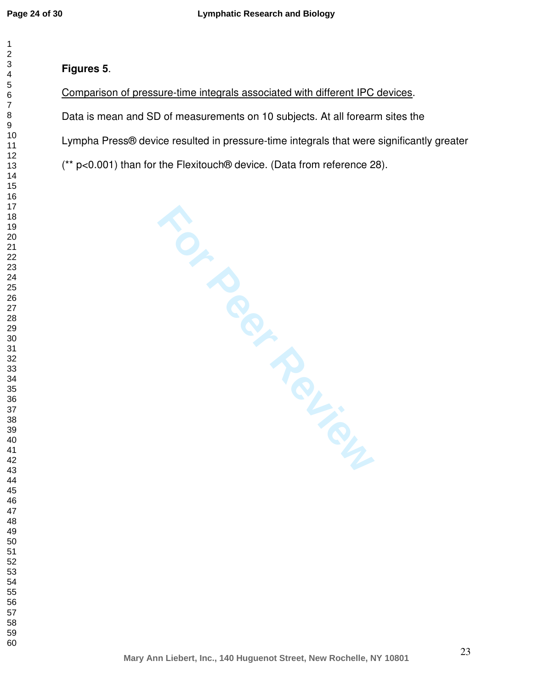$\mathbf{1}$  $\overline{2}$ 

#### $\overline{4}$  $\overline{7}$

# **Figures 5**.

# Comparison of pressure-time integrals associated with different IPC devices.

Data is mean and SD of measurements on 10 subjects. At all forearm sites the

Lympha Press® device resulted in pressure-time integrals that were significantly greater

(\*\* p<0.001) than for the Flexitouch® device. (Data from reference 28).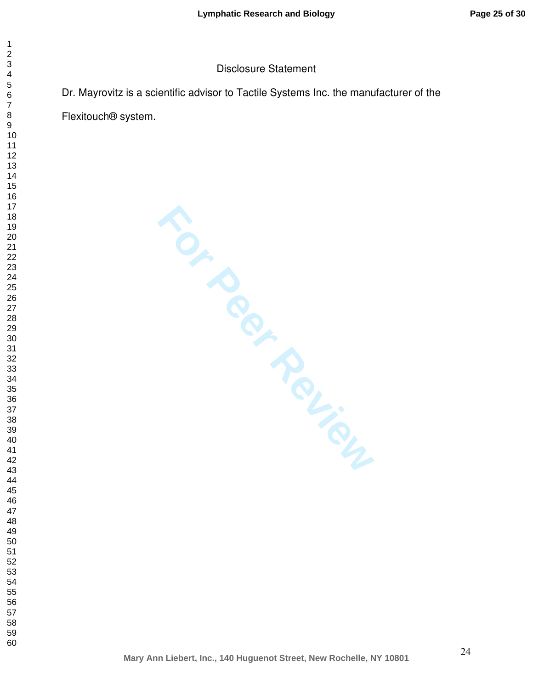## Disclosure Statement

Dr. Mayrovitz is a scientific advisor to Tactile Systems Inc. the manufacturer of the

Flexitouch® system.

**For Per Review** 

 $\mathbf{1}$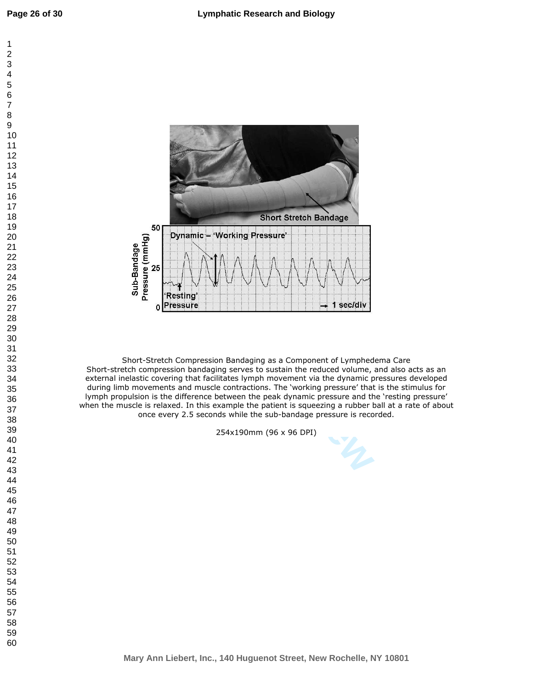



Short-Stretch Compression Bandaging as a Component of Lymphedema Care Short-stretch compression bandaging serves to sustain the reduced volume, and also acts as an external inelastic covering that facilitates lymph movement via the dynamic pressures developed during limb movements and muscle contractions. The 'working pressure' that is the stimulus for lymph propulsion is the difference between the peak dynamic pressure and the 'resting pressure' when the muscle is relaxed. In this example the patient is squeezing a rubber ball at a rate of about once every 2.5 seconds while the sub-bandage pressure is recorded.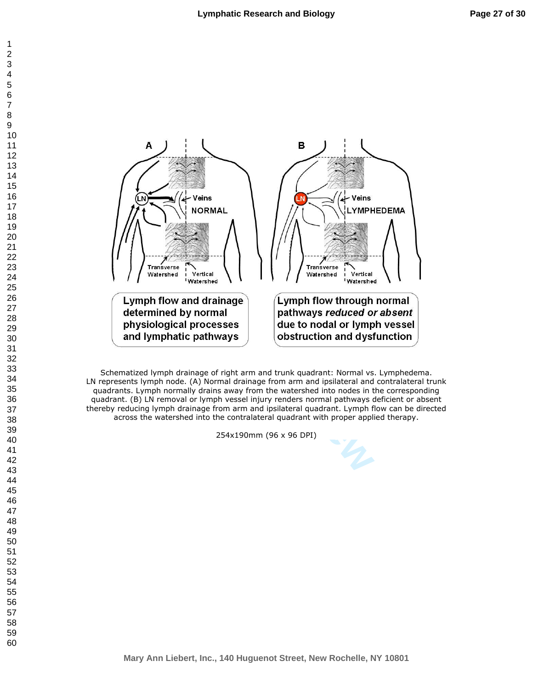

Schematized lymph drainage of right arm and trunk quadrant: Normal vs. Lymphedema. LN represents lymph node. (A) Normal drainage from arm and ipsilateral and contralateral trunk quadrants. Lymph normally drains away from the watershed into nodes in the corresponding quadrant. (B) LN removal or lymph vessel injury renders normal pathways deficient or absent thereby reducing lymph drainage from arm and ipsilateral quadrant. Lymph flow can be directed across the watershed into the contralateral quadrant with proper applied therapy.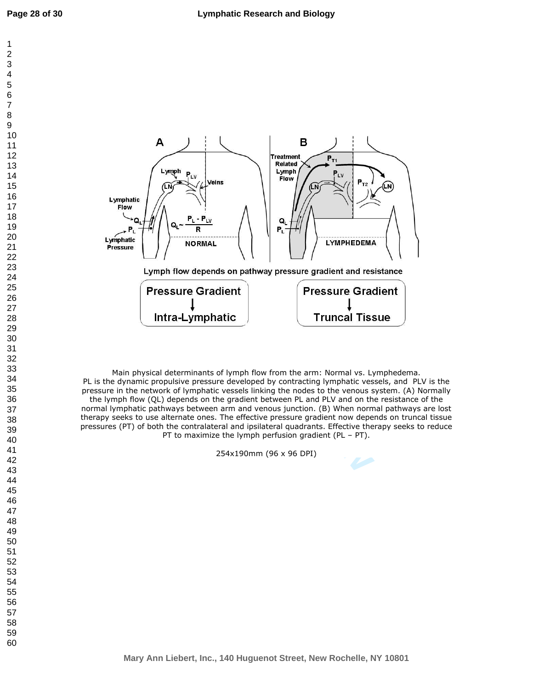$\mathbf{1}$  $\overline{2}$  $\overline{4}$  $\overline{7}$ 



Main physical determinants of lymph flow from the arm: Normal vs. Lymphedema. PL is the dynamic propulsive pressure developed by contracting lymphatic vessels, and PLV is the pressure in the network of lymphatic vessels linking the nodes to the venous system. (A) Normally the lymph flow (QL) depends on the gradient between PL and PLV and on the resistance of the normal lymphatic pathways between arm and venous junction. (B) When normal pathways are lost therapy seeks to use alternate ones. The effective pressure gradient now depends on truncal tissue pressures (PT) of both the contralateral and ipsilateral quadrants. Effective therapy seeks to reduce PT to maximize the lymph perfusion gradient (PL – PT).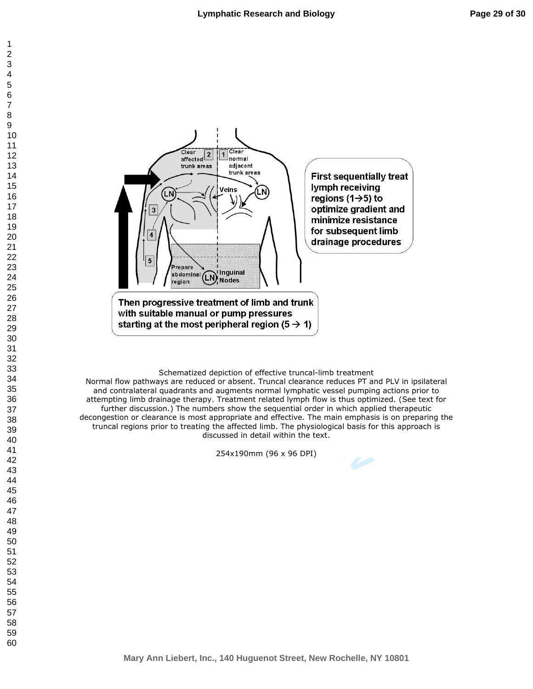

Schematized depiction of effective truncal-limb treatment

Normal flow pathways are reduced or absent. Truncal clearance reduces PT and PLV in ipsilateral and contralateral quadrants and augments normal lymphatic vessel pumping actions prior to attempting limb drainage therapy. Treatment related lymph flow is thus optimized. (See text for further discussion.) The numbers show the sequential order in which applied therapeutic decongestion or clearance is most appropriate and effective. The main emphasis is on preparing the truncal regions prior to treating the affected limb. The physiological basis for this approach is discussed in detail within the text.